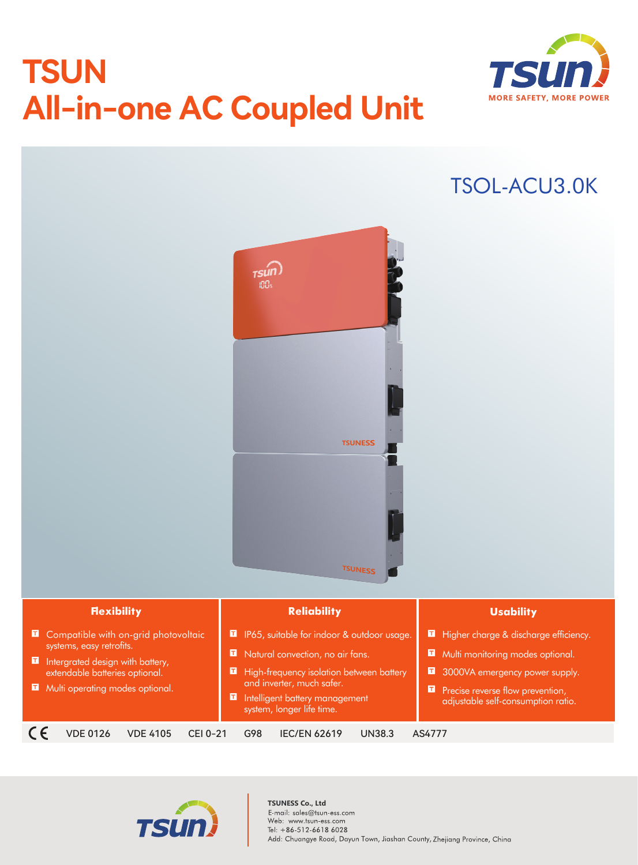# **TSUN All-in-one AC Coupled Unit**



## TSOL-ACU3.0K





#### **TSUNESS Co., Ltd**E-mail: sales@tsun-ess.com Web: www.tsun-ess.com Tel: +86-512-6618 6028 Add: Chuangye Road, Dayun Town, Jiashan County, Zhejiang Province, China